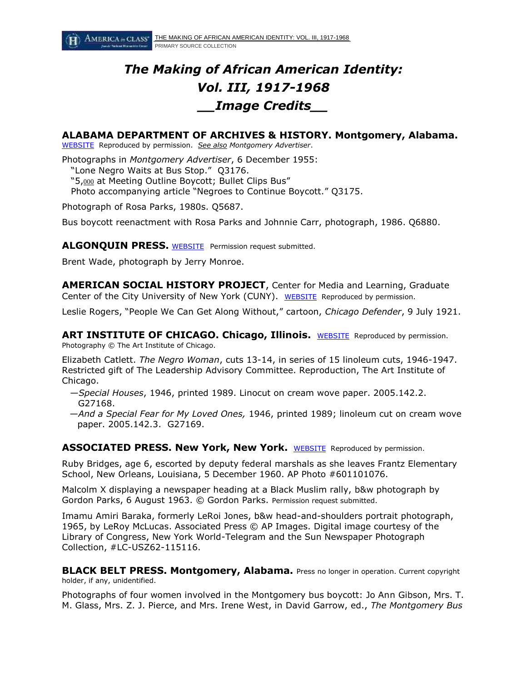# *The Making of African American Identity: Vol. III, 1917-1968 \_\_Image Credits\_\_*

# **ALABAMA DEPARTMENT OF ARCHIVES & HISTORY. Montgomery, Alabama.**

[WEBSITE](http://www.archives.alabama.gov/searchcoll.html) Reproduced by permission. *See also Montgomery Advertiser*.

Photographs in *Montgomery Advertiser*, 6 December 1955:

"Lone Negro Waits at Bus Stop." Q3176.

"5,000 at Meeting Outline Boycott; Bullet Clips Bus"

Photo accompanying article "Negroes to Continue Boycott." Q3175.

Photograph of Rosa Parks, 1980s. Q5687.

Bus boycott reenactment with Rosa Parks and Johnnie Carr, photograph, 1986. Q6880.

## ALGONQUIN PRESS. [WEBSITE](http://www.algonquin.com/) Permission request submitted.

Brent Wade, photograph by Jerry Monroe.

**AMERICAN SOCIAL HISTORY PROJECT**, Center for Media and Learning, Graduate Center of the City University of New York (CUNY). [WEBSITE](http://historymatters.gmu.edu/) Reproduced by permission.

Leslie Rogers, "People We Can Get Along Without," cartoon, *Chicago Defender*, 9 July 1921.

**ART INSTITUTE OF CHICAGO. Chicago, Illinois.** [WEBSITE](http://www.artic.edu/) Reproduced by permission. Photography © The Art Institute of Chicago.

Elizabeth Catlett. *The Negro Woman*, cuts 13-14, in series of 15 linoleum cuts, 1946-1947. Restricted gift of The Leadership Advisory Committee. Reproduction, The Art Institute of Chicago.

- —*Special Houses*, 1946, printed 1989. Linocut on cream wove paper. 2005.142.2. G27168.
- —*And a Special Fear for My Loved Ones,* 1946, printed 1989; linoleum cut on cream wove paper. 2005.142.3. G27169.

**ASSOCIATED PRESS. New York, New York.** [WEBSITE](http://www.ap.org/) Reproduced by permission.

Ruby Bridges, age 6, escorted by deputy federal marshals as she leaves Frantz Elementary School, New Orleans, Louisiana, 5 December 1960. AP Photo #601101076.

Malcolm X displaying a newspaper heading at a Black Muslim rally, b&w photograph by Gordon Parks, 6 August 1963. © Gordon Parks. Permission request submitted.

Imamu Amiri Baraka, formerly LeRoi Jones, b&w head-and-shoulders portrait photograph, 1965, by LeRoy McLucas. Associated Press © AP Images. Digital image courtesy of the Library of Congress, New York World-Telegram and the Sun Newspaper Photograph Collection, #LC-USZ62-115116.

**BLACK BELT PRESS. Montgomery, Alabama.** Press no longer in operation. Current copyright holder, if any, unidentified.

Photographs of four women involved in the Montgomery bus boycott: Jo Ann Gibson, Mrs. T. M. Glass, Mrs. Z. J. Pierce, and Mrs. Irene West, in David Garrow, ed., *The Montgomery Bus*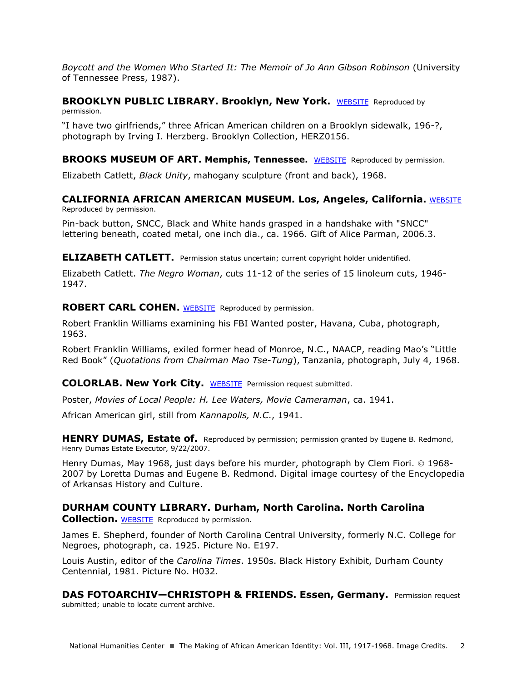*Boycott and the Women Who Started It: The Memoir of Jo Ann Gibson Robinson* (University of Tennessee Press, 1987).

## **BROOKLYN PUBLIC LIBRARY. Brooklyn, New York.** [WEBSITE](http://www.bklynlibrary.org/) Reproduced by permission.

"I have two girlfriends," three African American children on a Brooklyn sidewalk, 196-?, photograph by Irving I. Herzberg. Brooklyn Collection, HERZ0156.

#### **BROOKS MUSEUM OF ART. Memphis, Tennessee.** [WEBSITE](http://www.brooksmuseum.org/) Reproduced by permission.

Elizabeth Catlett, *Black Unity*, mahogany sculpture (front and back), 1968.

## **CALIFORNIA AFRICAN AMERICAN MUSEUM. Los, Angeles, California. [WEBSITE](http://www.caamuseum.org/)** Reproduced by permission.

Pin-back button, SNCC, Black and White hands grasped in a handshake with "SNCC" lettering beneath, coated metal, one inch dia., ca. 1966. Gift of Alice Parman, 2006.3.

**ELIZABETH CATLETT.** Permission status uncertain; current copyright holder unidentified.

Elizabeth Catlett. *The Negro Woman*, cuts 11-12 of the series of 15 linoleum cuts, 1946- 1947.

#### **ROBERT CARL COHEN. [WEBSITE](http://www.radfilms.com/) Reproduced by permission.**

Robert Franklin Williams examining his FBI Wanted poster, Havana, Cuba, photograph, 1963.

Robert Franklin Williams, exiled former head of Monroe, N.C., NAACP, reading Mao's "Little Red Book" (*Quotations from Chairman Mao Tse-Tung*), Tanzania, photograph, July 4, 1968.

#### **COLORLAB. New York City.** [WEBSITE](http://www.colorlab.com/) Permission request submitted.

Poster, *Movies of Local People: H. Lee Waters, Movie Cameraman*, ca. 1941.

African American girl, still from *Kannapolis, N.C*., 1941.

**HENRY DUMAS, Estate of.** Reproduced by permission; permission granted by Eugene B. Redmond, Henry Dumas Estate Executor, 9/22/2007.

Henry Dumas, May 1968, just days before his murder, photograph by Clem Fiori.  $\odot$  1968-2007 by Loretta Dumas and Eugene B. Redmond. Digital image courtesy of the Encyclopedia of Arkansas History and Culture.

# **DURHAM COUNTY LIBRARY. Durham, North Carolina. North Carolina**

**Collection.** [WEBSITE](http://durhamcountylibrary.org/) Reproduced by permission.

James E. Shepherd, founder of North Carolina Central University, formerly N.C. College for Negroes, photograph, ca. 1925. Picture No. E197.

Louis Austin, editor of the *Carolina Times*. 1950s. Black History Exhibit, Durham County Centennial, 1981. Picture No. H032.

**DAS FOTOARCHIV—CHRISTOPH & FRIENDS. Essen, Germany.** Permission request submitted; unable to locate current archive.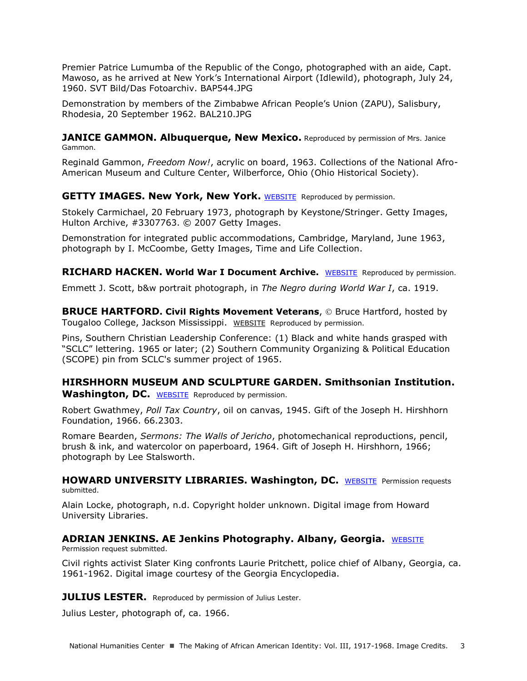Premier Patrice Lumumba of the Republic of the Congo, photographed with an aide, Capt. Mawoso, as he arrived at New York's International Airport (Idlewild), photograph, July 24, 1960. SVT Bild/Das Fotoarchiv. BAP544.JPG

Demonstration by members of the Zimbabwe African People's Union (ZAPU), Salisbury, Rhodesia, 20 September 1962. BAL210.JPG

**JANICE GAMMON. Albuquerque, New Mexico.** Reproduced by permission of Mrs. Janice Gammon.

Reginald Gammon, *Freedom Now!*, acrylic on board, 1963. Collections of the National Afro-American Museum and Culture Center, Wilberforce, Ohio (Ohio Historical Society).

#### **GETTY IMAGES. New York, New York.** [WEBSITE](http://www.gettyimages.com/) Reproduced by permission.

Stokely Carmichael, 20 February 1973, photograph by Keystone/Stringer. Getty Images, Hulton Archive, #3307763. © 2007 Getty Images.

Demonstration for integrated public accommodations, Cambridge, Maryland, June 1963, photograph by I. McCoombe, Getty Images, Time and Life Collection.

**RICHARD HACKEN. World War I Document Archive.** [WEBSITE](http://net.lib.byu.edu/~rdh7/wwi/comment/Scott/ScottTC.htm) Reproduced by permission.

Emmett J. Scott, b&w portrait photograph, in *The Negro during World War I*, ca. 1919.

**BRUCE HARTFORD. Civil Rights Movement Veterans, © Bruce Hartford, hosted by** Tougaloo College, Jackson Mississippi. [WEBSITE](http://www.crmvet.org/) Reproduced by permission.

Pins, Southern Christian Leadership Conference: (1) Black and white hands grasped with "SCLC" lettering. 1965 or later; (2) Southern Community Organizing & Political Education (SCOPE) pin from SCLC's summer project of 1965.

## **HIRSHHORN MUSEUM AND SCULPTURE GARDEN. Smithsonian Institution.** Washington, DC. [WEBSITE](http://www.hirshhorn.si.edu/collection/home/) Reproduced by permission.

Robert Gwathmey, *Poll Tax Country*, oil on canvas, 1945. Gift of the Joseph H. Hirshhorn Foundation, 1966. 66.2303.

Romare Bearden, *Sermons: The Walls of Jericho*, photomechanical reproductions, pencil, brush & ink, and watercolor on paperboard, 1964. Gift of Joseph H. Hirshhorn, 1966; photograph by Lee Stalsworth.

**HOWARD UNIVERSITY LIBRARIES. Washington, DC.** [WEBSITE](http://library.howard.edu/library) Permission requests submitted.

Alain Locke, photograph, n.d. Copyright holder unknown. Digital image from Howard University Libraries.

#### **ADRIAN JENKINS. AE Jenkins Photography. Albany, Georgia.** WEBSITE Permission request submitted.

Civil rights activist Slater King confronts Laurie Pritchett, police chief of Albany, Georgia, ca. 1961-1962. Digital image courtesy of the Georgia Encyclopedia.

**JULIUS LESTER.** Reproduced by permission of Julius Lester.

Julius Lester, photograph of, ca. 1966.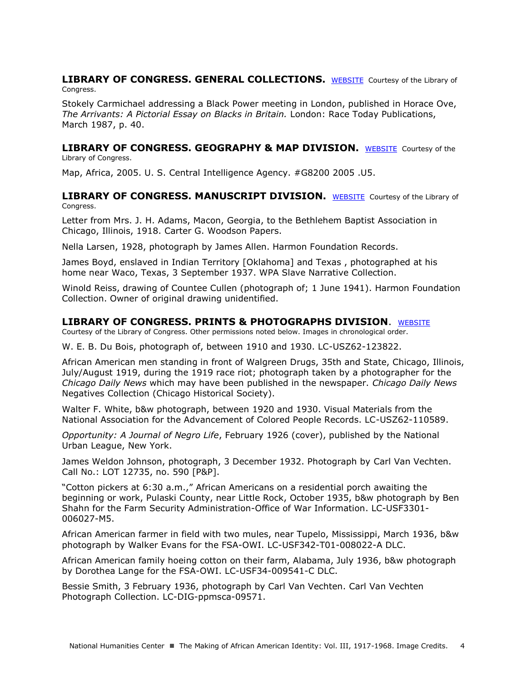#### **LIBRARY OF CONGRESS. GENERAL COLLECTIONS.** [WEBSITE](http://www.loc.gov/) Courtesy of the Library of Congress.

Stokely Carmichael addressing a Black Power meeting in London, published in Horace Ove, *The Arrivants: A Pictorial Essay on Blacks in Britain.* London: Race Today Publications, March 1987, p. 40.

#### **LIBRARY OF CONGRESS. GEOGRAPHY & MAP DIVISION.** [WEBSITE](http://www.loc.gov/rr/geogmap/) Courtesy of the Library of Congress.

Map, Africa, 2005. U. S. Central Intelligence Agency. #G8200 2005 .U5.

**LIBRARY OF CONGRESS. MANUSCRIPT DIVISION.** [WEBSITE](http://www.loc.gov/rr/mss/) Courtesy of the Library of Congress.

Letter from Mrs. J. H. Adams, Macon, Georgia, to the Bethlehem Baptist Association in Chicago, Illinois, 1918. Carter G. Woodson Papers.

Nella Larsen, 1928, photograph by James Allen. Harmon Foundation Records.

James Boyd, enslaved in Indian Territory [Oklahoma] and Texas , photographed at his home near Waco, Texas, 3 September 1937. WPA Slave Narrative Collection.

Winold Reiss, drawing of Countee Cullen (photograph of; 1 June 1941). Harmon Foundation Collection. Owner of original drawing unidentified.

## **LIBRARY OF CONGRESS. PRINTS & PHOTOGRAPHS DIVISION**. [WEBSITE](http://www.loc.gov/pictures/#show_search_options)

Courtesy of the Library of Congress. Other permissions noted below. Images in chronological order.

W. E. B. Du Bois, photograph of, between 1910 and 1930. LC-USZ62-123822.

African American men standing in front of Walgreen Drugs, 35th and State, Chicago, Illinois, July/August 1919, during the 1919 race riot; photograph taken by a photographer for the *Chicago Daily News* which may have been published in the newspaper. *Chicago Daily News* Negatives Collection (Chicago Historical Society).

Walter F. White, b&w photograph, between 1920 and 1930. Visual Materials from the National Association for the Advancement of Colored People Records. LC-USZ62-110589.

*Opportunity: A Journal of Negro Life*, February 1926 (cover), published by the National Urban League, New York.

James Weldon Johnson, photograph, 3 December 1932. Photograph by Carl Van Vechten. Call No.: LOT 12735, no. 590 [P&P].

"Cotton pickers at 6:30 a.m.," African Americans on a residential porch awaiting the beginning or work, Pulaski County, near Little Rock, October 1935, b&w photograph by Ben Shahn for the Farm Security Administration-Office of War Information. LC-USF3301- 006027-M5.

African American farmer in field with two mules, near Tupelo, Mississippi, March 1936, b&w photograph by Walker Evans for the FSA-OWI. LC-USF342-T01-008022-A DLC.

African American family hoeing cotton on their farm, Alabama, July 1936, b&w photograph by Dorothea Lange for the FSA-OWI. LC-USF34-009541-C DLC.

Bessie Smith, 3 February 1936, photograph by Carl Van Vechten. Carl Van Vechten Photograph Collection. LC-DIG-ppmsca-09571.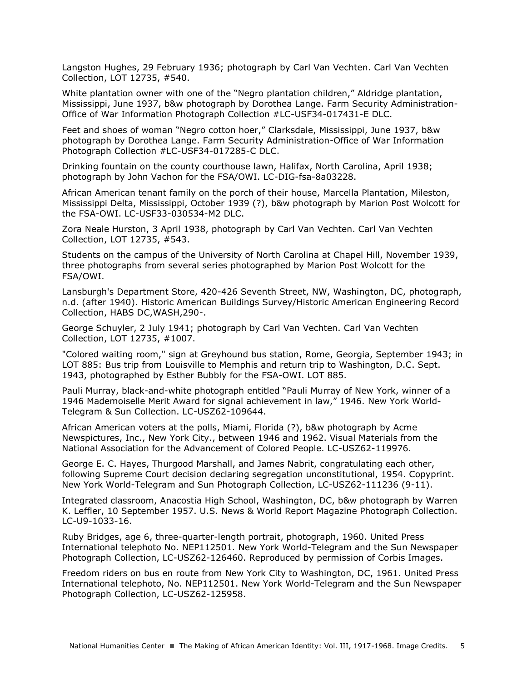Langston Hughes, 29 February 1936; photograph by Carl Van Vechten. Carl Van Vechten Collection, LOT 12735, #540.

White plantation owner with one of the "Negro plantation children," Aldridge plantation, Mississippi, June 1937, b&w photograph by Dorothea Lange. Farm Security Administration-Office of War Information Photograph Collection #LC-USF34-017431-E DLC.

Feet and shoes of woman "Negro cotton hoer," Clarksdale, Mississippi, June 1937, b&w photograph by Dorothea Lange. Farm Security Administration-Office of War Information Photograph Collection #LC-USF34-017285-C DLC.

Drinking fountain on the county courthouse lawn, Halifax, North Carolina, April 1938; photograph by John Vachon for the FSA/OWI. LC-DIG-fsa-8a03228.

African American tenant family on the porch of their house, Marcella Plantation, Mileston, Mississippi Delta, Mississippi, October 1939 (?), b&w photograph by Marion Post Wolcott for the FSA-OWI. LC-USF33-030534-M2 DLC.

Zora Neale Hurston, 3 April 1938, photograph by Carl Van Vechten. Carl Van Vechten Collection, LOT 12735, #543.

Students on the campus of the University of North Carolina at Chapel Hill, November 1939, three photographs from several series photographed by Marion Post Wolcott for the FSA/OWI.

Lansburgh's Department Store, 420-426 Seventh Street, NW, Washington, DC, photograph, n.d. (after 1940). Historic American Buildings Survey/Historic American Engineering Record Collection, HABS DC,WASH,290-.

George Schuyler, 2 July 1941; photograph by Carl Van Vechten. Carl Van Vechten Collection, LOT 12735, #1007.

"Colored waiting room," sign at Greyhound bus station, Rome, Georgia, September 1943; in LOT 885: Bus trip from Louisville to Memphis and return trip to Washington, D.C. Sept. 1943, photographed by Esther Bubbly for the FSA-OWI. LOT 885.

Pauli Murray, black-and-white photograph entitled "Pauli Murray of New York, winner of a 1946 Mademoiselle Merit Award for signal achievement in law," 1946. New York World-Telegram & Sun Collection. LC-USZ62-109644.

African American voters at the polls, Miami, Florida (?), b&w photograph by Acme Newspictures, Inc., New York City., between 1946 and 1962. Visual Materials from the National Association for the Advancement of Colored People. LC-USZ62-119976.

George E. C. Hayes, Thurgood Marshall, and James Nabrit, congratulating each other, following Supreme Court decision declaring segregation unconstitutional, 1954. Copyprint. New York World-Telegram and Sun Photograph Collection, LC-USZ62-111236 (9-11).

Integrated classroom, Anacostia High School, Washington, DC, b&w photograph by Warren K. Leffler, 10 September 1957. U.S. News & World Report Magazine Photograph Collection. LC-U9-1033-16.

Ruby Bridges, age 6, three-quarter-length portrait, photograph, 1960. United Press International telephoto No. NEP112501. New York World-Telegram and the Sun Newspaper Photograph Collection, LC-USZ62-126460. Reproduced by permission of Corbis Images.

Freedom riders on bus en route from New York City to Washington, DC, 1961. United Press International telephoto, No. NEP112501. New York World-Telegram and the Sun Newspaper Photograph Collection, LC-USZ62-125958.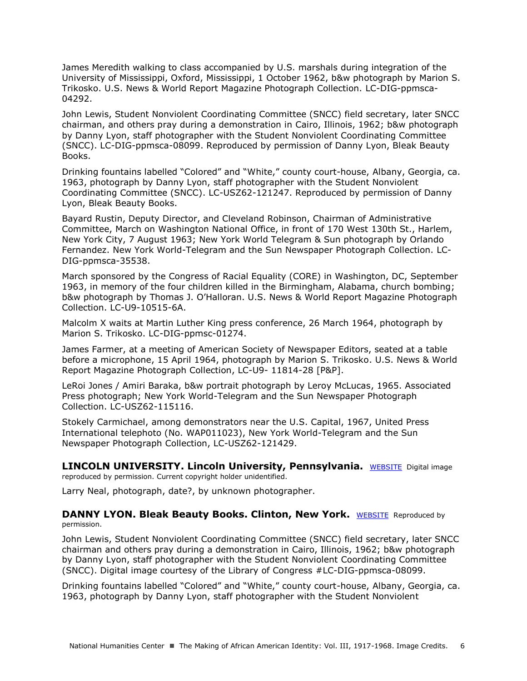James Meredith walking to class accompanied by U.S. marshals during integration of the University of Mississippi, Oxford, Mississippi, 1 October 1962, b&w photograph by Marion S. Trikosko. U.S. News & World Report Magazine Photograph Collection. LC-DIG-ppmsca-04292.

John Lewis, Student Nonviolent Coordinating Committee (SNCC) field secretary, later SNCC chairman, and others pray during a demonstration in Cairo, Illinois, 1962; b&w photograph by Danny Lyon, staff photographer with the Student Nonviolent Coordinating Committee (SNCC). LC-DIG-ppmsca-08099. Reproduced by permission of Danny Lyon, Bleak Beauty Books.

Drinking fountains labelled "Colored" and "White," county court-house, Albany, Georgia, ca. 1963, photograph by Danny Lyon, staff photographer with the Student Nonviolent Coordinating Committee (SNCC). LC-USZ62-121247. Reproduced by permission of Danny Lyon, Bleak Beauty Books.

Bayard Rustin, Deputy Director, and Cleveland Robinson, Chairman of Administrative Committee, March on Washington National Office, in front of 170 West 130th St., Harlem, New York City, 7 August 1963; New York World Telegram & Sun photograph by Orlando Fernandez. New York World-Telegram and the Sun Newspaper Photograph Collection. LC-DIG-ppmsca-35538.

March sponsored by the Congress of Racial Equality (CORE) in Washington, DC, September 1963, in memory of the four children killed in the Birmingham, Alabama, church bombing; b&w photograph by Thomas J. O'Halloran. U.S. News & World Report Magazine Photograph Collection. LC-U9-10515-6A.

Malcolm X waits at Martin Luther King press conference, 26 March 1964, photograph by Marion S. Trikosko. LC-DIG-ppmsc-01274.

James Farmer, at a meeting of American Society of Newspaper Editors, seated at a table before a microphone, 15 April 1964, photograph by Marion S. Trikosko. U.S. News & World Report Magazine Photograph Collection, LC-U9- 11814-28 [P&P].

LeRoi Jones / Amiri Baraka, b&w portrait photograph by Leroy McLucas, 1965. Associated Press photograph; New York World-Telegram and the Sun Newspaper Photograph Collection. LC-USZ62-115116.

Stokely Carmichael, among demonstrators near the U.S. Capital, 1967, United Press International telephoto (No. WAP011023), New York World-Telegram and the Sun Newspaper Photograph Collection, LC-USZ62-121429.

**LINCOLN UNIVERSITY. Lincoln University, Pennsylvania.** [WEBSITE](http://www.lincoln.edu/) Digital image reproduced by permission. Current copyright holder unidentified.

Larry Neal, photograph, date?, by unknown photographer.

#### **DANNY LYON. Bleak Beauty Books. Clinton, New York.** [WEBSITE](http://bleakbeauty.com/home.html) Reproduced by permission.

John Lewis, Student Nonviolent Coordinating Committee (SNCC) field secretary, later SNCC chairman and others pray during a demonstration in Cairo, Illinois, 1962; b&w photograph by Danny Lyon, staff photographer with the Student Nonviolent Coordinating Committee (SNCC). Digital image courtesy of the Library of Congress #LC-DIG-ppmsca-08099.

Drinking fountains labelled "Colored" and "White," county court-house, Albany, Georgia, ca. 1963, photograph by Danny Lyon, staff photographer with the Student Nonviolent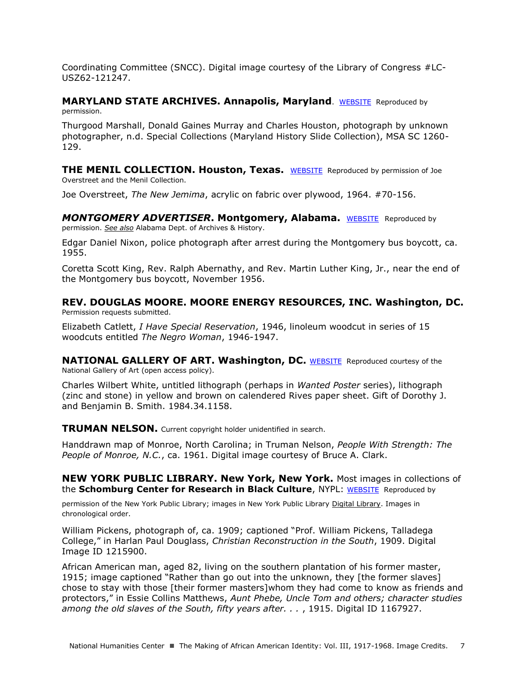Coordinating Committee (SNCC). Digital image courtesy of the Library of Congress #LC-USZ62-121247.

#### **MARYLAND STATE ARCHIVES. Annapolis, Maryland**. [WEBSITE](http://bleakbeauty.com/home.html) Reproduced by permission.

Thurgood Marshall, Donald Gaines Murray and Charles Houston, photograph by unknown photographer, n.d. Special Collections (Maryland History Slide Collection), MSA SC 1260- 129.

**THE MENIL COLLECTION. Houston, Texas.** [WEBSITE](https://www.menil.org/) Reproduced by permission of Joe Overstreet and the Menil Collection.

Joe Overstreet, *The New Jemima*, acrylic on fabric over plywood, 1964. #70-156.

**MONTGOMERY ADVERTISER. Montgomery, Alabama.** [WEBSITE](http://www.montgomeryadvertiser.com/) Reproduced by permission. *See also* Alabama Dept. of Archives & History.

Edgar Daniel Nixon, police photograph after arrest during the Montgomery bus boycott, ca. 1955.

Coretta Scott King, Rev. Ralph Abernathy, and Rev. Martin Luther King, Jr., near the end of the Montgomery bus boycott, November 1956.

**REV. DOUGLAS MOORE. MOORE ENERGY RESOURCES, INC. Washington, DC.**  Permission requests submitted.

Elizabeth Catlett, *I Have Special Reservation*, 1946, linoleum woodcut in series of 15 woodcuts entitled *The Negro Woman*, 1946-1947.

**NATIONAL GALLERY OF ART. Washington, DC.** [WEBSITE](http://www.nga.gov/content/ngaweb.html) Reproduced courtesy of the National Gallery of Art (open access policy).

Charles Wilbert White, untitled lithograph (perhaps in *Wanted Poster* series), lithograph (zinc and stone) in yellow and brown on calendered Rives paper sheet. Gift of Dorothy J. and Benjamin B. Smith. 1984.34.1158.

#### **TRUMAN NELSON.** Current copyright holder unidentified in search.

Handdrawn map of Monroe, North Carolina; in Truman Nelson, *People With Strength: The People of Monroe, N.C.*, ca. 1961. Digital image courtesy of Bruce A. Clark.

**NEW YORK PUBLIC LIBRARY. New York, New York.** Most images in collections of the **Schomburg Center for Research in Black Culture**, NYPL: [WEBSITE](http://www.nypl.org/locations/schomburg) Reproduced by

permission of the New York Public Library; images in New York Public Library [Digital Library.](http://digitalgallery.nypl.org/nypldigital/index.cfm) Images in chronological order.

William Pickens, photograph of, ca. 1909; captioned "Prof. William Pickens, Talladega College," in Harlan Paul Douglass, *Christian Reconstruction in the South*, 1909. Digital Image ID 1215900.

African American man, aged 82, living on the southern plantation of his former master, 1915; image captioned "Rather than go out into the unknown, they [the former slaves] chose to stay with those [their former masters]whom they had come to know as friends and protectors," in Essie Collins Matthews, *Aunt Phebe, Uncle Tom and others; character studies among the old slaves of the South, fifty years after. . .* , 1915. Digital ID 1167927.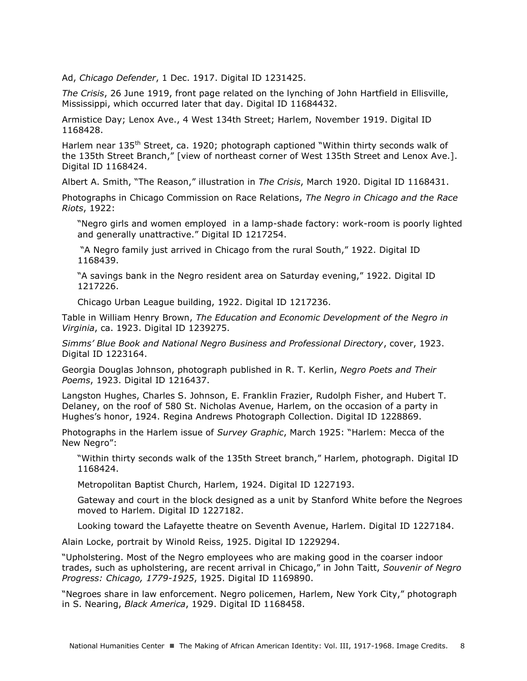Ad, *Chicago Defender*, 1 Dec. 1917. Digital ID 1231425.

*The Crisis*, 26 June 1919, front page related on the lynching of John Hartfield in Ellisville, Mississippi, which occurred later that day. Digital ID 11684432.

Armistice Day; Lenox Ave., 4 West 134th Street; Harlem, November 1919. Digital ID 1168428.

Harlem near 135<sup>th</sup> Street, ca. 1920; photograph captioned "Within thirty seconds walk of the 135th Street Branch," [view of northeast corner of West 135th Street and Lenox Ave.]. Digital ID 1168424.

Albert A. Smith, "The Reason," illustration in *The Crisis*, March 1920. Digital ID 1168431.

Photographs in Chicago Commission on Race Relations, *The Negro in Chicago and the Race Riots*, 1922:

"Negro girls and women employed in a lamp-shade factory: work-room is poorly lighted and generally unattractive." Digital ID 1217254.

"A Negro family just arrived in Chicago from the rural South," 1922. Digital ID 1168439.

"A savings bank in the Negro resident area on Saturday evening," 1922. Digital ID 1217226.

Chicago Urban League building, 1922. Digital ID 1217236.

Table in William Henry Brown, *The Education and Economic Development of the Negro in Virginia*, ca. 1923. Digital ID 1239275.

*Simms' Blue Book and National Negro Business and Professional Directory*, cover, 1923. Digital ID 1223164.

Georgia Douglas Johnson, photograph published in R. T. Kerlin, *Negro Poets and Their Poems*, 1923. Digital ID 1216437.

Langston Hughes, Charles S. Johnson, E. Franklin Frazier, Rudolph Fisher, and Hubert T. Delaney, on the roof of 580 St. Nicholas Avenue, Harlem, on the occasion of a party in Hughes's honor, 1924. Regina Andrews Photograph Collection. Digital ID 1228869.

Photographs in the Harlem issue of *Survey Graphic*, March 1925: "Harlem: Mecca of the New Negro":

"Within thirty seconds walk of the 135th Street branch," Harlem, photograph. Digital ID 1168424.

Metropolitan Baptist Church, Harlem, 1924. Digital ID 1227193.

Gateway and court in the block designed as a unit by Stanford White before the Negroes moved to Harlem. Digital ID 1227182.

Looking toward the Lafayette theatre on Seventh Avenue, Harlem. Digital ID 1227184.

Alain Locke, portrait by Winold Reiss, 1925. Digital ID 1229294.

"Upholstering. Most of the Negro employees who are making good in the coarser indoor trades, such as upholstering, are recent arrival in Chicago," in John Taitt, *Souvenir of Negro Progress: Chicago, 1779-1925*, 1925. Digital ID 1169890.

"Negroes share in law enforcement. Negro policemen, Harlem, New York City," photograph in S. Nearing, *Black America*, 1929. Digital ID 1168458.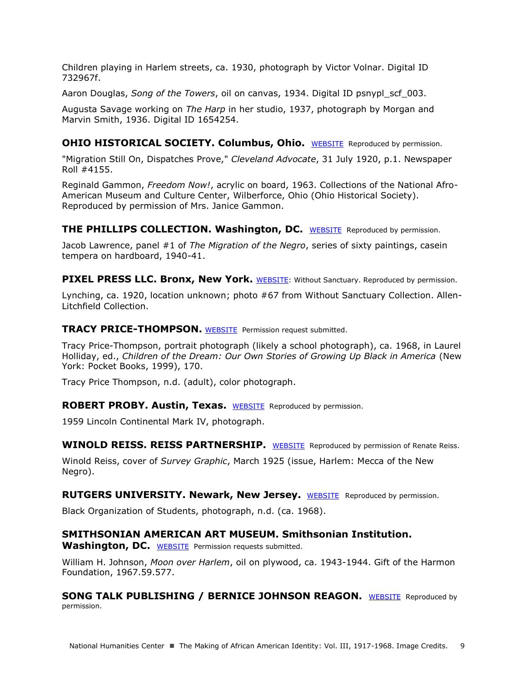Children playing in Harlem streets, ca. 1930, photograph by Victor Volnar. Digital ID 732967f.

Aaron Douglas, *Song of the Towers*, oil on canvas, 1934. Digital ID psnypl\_scf\_003.

Augusta Savage working on *The Harp* in her studio, 1937, photograph by Morgan and Marvin Smith, 1936. Digital ID 1654254.

## **OHIO HISTORICAL SOCIETY. Columbus, Ohio.** [WEBSITE](http://www.montgomeryadvertiser.com/) Reproduced by permission.

"Migration Still On, Dispatches Prove," *Cleveland Advocate*, 31 July 1920, p.1. Newspaper Roll #4155.

Reginald Gammon, *Freedom Now!*, acrylic on board, 1963. Collections of the National Afro-American Museum and Culture Center, Wilberforce, Ohio (Ohio Historical Society). Reproduced by permission of Mrs. Janice Gammon.

**THE PHILLIPS COLLECTION. Washington, DC.** [WEBSITE](http://www.phillipscollection.org/) Reproduced by permission.

Jacob Lawrence, panel #1 of *The Migration of the Negro*, series of sixty paintings, casein tempera on hardboard, 1940-41.

**PIXEL PRESS LLC. Bronx, New York.** [WEBSITE:](http://withoutsanctuary.org/) Without Sanctuary. Reproduced by permission.

Lynching, ca. 1920, location unknown; photo #67 from Without Sanctuary Collection. Allen-Litchfield Collection.

**TRACY PRICE-THOMPSON.** [WEBSITE](http://www.tracypricethompson.com/) Permission request submitted.

Tracy Price-Thompson, portrait photograph (likely a school photograph), ca. 1968, in Laurel Holliday, ed., *Children of the Dream: Our Own Stories of Growing Up Black in America* (New York: Pocket Books, 1999), 170.

Tracy Price Thompson, n.d. (adult), color photograph.

**ROBERT PROBY. Austin, Texas.** [WEBSITE](http://www.americandreamcars.com/1959continental011503.htm) Reproduced by permission.

1959 Lincoln Continental Mark IV, photograph.

**WINOLD REISS. REISS PARTNERSHIP.** [WEBSITE](http://www.winoldreiss.org/partnership/index.htm) Reproduced by permission of Renate Reiss.

Winold Reiss, cover of *Survey Graphic*, March 1925 (issue, Harlem: Mecca of the New Negro).

**RUTGERS UNIVERSITY. Newark, New Jersey.** [WEBSITE](http://www.libraries.rutgers.edu/) Reproduced by permission.

Black Organization of Students, photograph, n.d. (ca. 1968).

## **SMITHSONIAN AMERICAN ART MUSEUM. Smithsonian Institution.**

**Washington, DC.** [WEBSITE](http://www.libraries.rutgers.edu/) Permission requests submitted.

William H. Johnson, *Moon over Harlem*, oil on plywood, ca. 1943-1944. Gift of the Harmon Foundation, 1967.59.577.

**SONG TALK PUBLISHING / BERNICE JOHNSON REAGON.** [WEBSITE](http://www.bernicejohnsonreagon.com/) Reproduced by permission.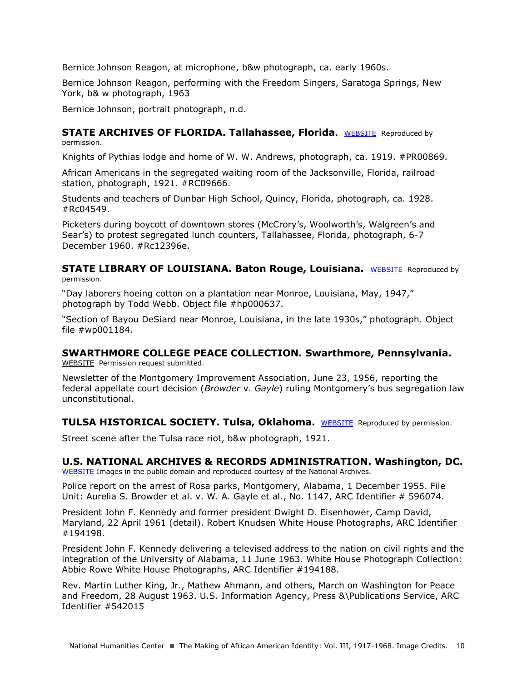Bernice Johnson Reagon, at microphone, b&w photograph, ca. early 1960s.

Bernice Johnson Reagon, performing with the Freedom Singers, Saratoga Springs, New York, b& w photograph, 1963

Bernice Johnson, portrait photograph, n.d.

#### **STATE ARCHIVES OF FLORIDA. Tallahassee, Florida.** [WEBSITE](http://dlis.dos.state.fl.us/index_Researchers.cfm) Reproduced by permission.

Knights of Pythias lodge and home of W. W. Andrews, photograph, ca. 1919. #PR00869.

African Americans in the segregated waiting room of the Jacksonville, Florida, railroad station, photograph, 1921. #RC09666.

Students and teachers of Dunbar High School, Quincy, Florida, photograph, ca. 1928. #Rc04549.

Picketers during boycott of downtown stores (McCrory's, Woolworth's, Walgreen's and Sear's) to protest segregated lunch counters, Tallahassee, Florida, photograph, 6-7 December 1960. #Rc12396e.

**STATE LIBRARY OF LOUISIANA. Baton Rouge, Louisiana.** [WEBSITE](http://www.state.lib.la.us/) Reproduced by permission.

"Day laborers hoeing cotton on a plantation near Monroe, Louisiana, May, 1947," photograph by Todd Webb. Object file #hp000637.

"Section of Bayou DeSiard near Monroe, Louisiana, in the late 1930s," photograph. Object file #wp001184.

# **SWARTHMORE COLLEGE PEACE COLLECTION. Swarthmore, Pennsylvania.**

[WEBSITE](http://www.swarthmore.edu/library/peace/) Permission request submitted.

Newsletter of the Montgomery Improvement Association, June 23, 1956, reporting the federal appellate court decision (*Browder* v. *Gayle*) ruling Montgomery's bus segregation law unconstitutional.

**TULSA HISTORICAL SOCIETY. Tulsa, Oklahoma.** [WEBSITE](http://www.tulsahistory.org/) Reproduced by permission.

Street scene after the Tulsa race riot, b&w photograph, 1921.

## **U.S. NATIONAL ARCHIVES & RECORDS ADMINISTRATION. Washington, DC.**

[WEBSITE](http://www.archives.gov/) Images in the public domain and reproduced courtesy of the National Archives.

Police report on the arrest of Rosa parks, Montgomery, Alabama, 1 December 1955. File Unit: Aurelia S. Browder et al. v. W. A. Gayle et al., No. 1147, ARC Identifier # 596074.

President John F. Kennedy and former president Dwight D. Eisenhower, Camp David, Maryland, 22 April 1961 (detail). Robert Knudsen White House Photographs, ARC Identifier #194198.

President John F. Kennedy delivering a televised address to the nation on civil rights and the integration of the University of Alabama, 11 June 1963. White House Photograph Collection: Abbie Rowe White House Photographs, ARC Identifier #194188.

Rev. Martin Luther King, Jr., Mathew Ahmann, and others, March on Washington for Peace and Freedom, 28 August 1963. U.S. Information Agency, Press &\Publications Service, ARC Identifier #542015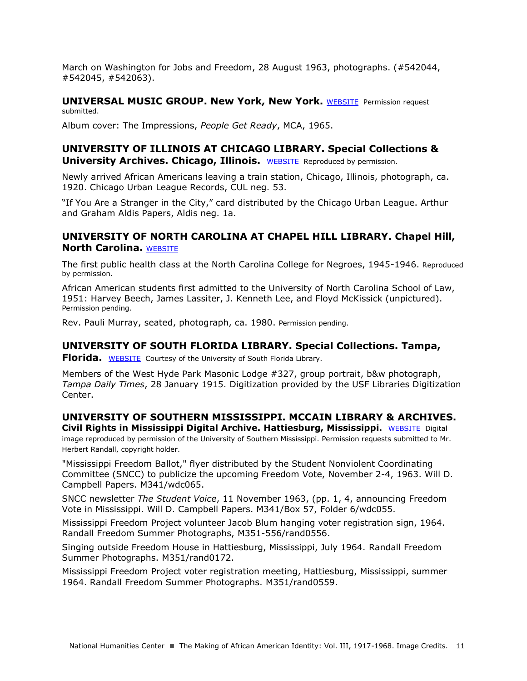March on Washington for Jobs and Freedom, 28 August 1963, photographs. (#542044, #542045, #542063).

#### **UNIVERSAL MUSIC GROUP. New York, New York.** [WEBSITE](http://www.universalmusic.com/) Permission request submitted.

Album cover: The Impressions, *People Get Ready*, MCA, 1965.

## **UNIVERSITY OF ILLINOIS AT CHICAGO LIBRARY. Special Collections & University Archives. Chicago, Illinois.** [WEBSITE](http://library.uic.edu/home/collections/manuscripts-and-rare-books/researchguides) Reproduced by permission.

Newly arrived African Americans leaving a train station, Chicago, Illinois, photograph, ca. 1920. Chicago Urban League Records, CUL neg. 53.

"If You Are a Stranger in the City," card distributed by the Chicago Urban League. Arthur and Graham Aldis Papers, Aldis neg. 1a.

## **UNIVERSITY OF NORTH CAROLINA AT CHAPEL HILL LIBRARY. Chapel Hill, North Carolina. [WEBSITE](http://library.unc.edu/)**

The first public health class at the North Carolina College for Negroes, 1945-1946. Reproduced by permission.

African American students first admitted to the University of North Carolina School of Law, 1951: Harvey Beech, James Lassiter, J. Kenneth Lee, and Floyd McKissick (unpictured). Permission pending.

Rev. Pauli Murray, seated, photograph, ca. 1980. Permission pending.

## **UNIVERSITY OF SOUTH FLORIDA LIBRARY. Special Collections. Tampa,**

**Florida.** [WEBSITE](http://www.lib.usf.edu/) Courtesy of the University of South Florida Library.

Members of the West Hyde Park Masonic Lodge #327, group portrait, b&w photograph, *Tampa Daily Times*, 28 January 1915. Digitization provided by the USF Libraries Digitization Center.

#### **UNIVERSITY OF SOUTHERN MISSISSIPPI. MCCAIN LIBRARY & ARCHIVES. Civil Rights in Mississippi Digital Archive. Hattiesburg, Mississippi.** [WEBSITE](http://www.lib.usm.edu/spcol/collections/manuscripts/lists-of-collections/subjects/subj-cr) Digital

image reproduced by permission of the University of Southern Mississippi. Permission requests submitted to Mr. Herbert Randall, copyright holder.

"Mississippi Freedom Ballot," flyer distributed by the Student Nonviolent Coordinating Committee (SNCC) to publicize the upcoming Freedom Vote, November 2-4, 1963. Will D. Campbell Papers. M341/wdc065.

SNCC newsletter *The Student Voice*, 11 November 1963, (pp. 1, 4, announcing Freedom Vote in Mississippi. Will D. Campbell Papers. M341/Box 57, Folder 6/wdc055.

Mississippi Freedom Project volunteer Jacob Blum hanging voter registration sign, 1964. Randall Freedom Summer Photographs, M351-556/rand0556.

Singing outside Freedom House in Hattiesburg, Mississippi, July 1964. Randall Freedom Summer Photographs. M351/rand0172.

Mississippi Freedom Project voter registration meeting, Hattiesburg, Mississippi, summer 1964. Randall Freedom Summer Photographs. M351/rand0559.